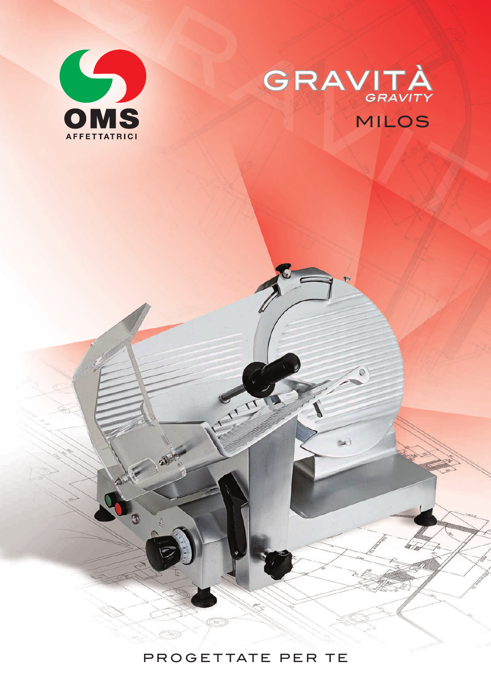

 $\sigma$ 



 $n\alpha$ 

PROGETTATE PER TE

 $C = 7$ 

1177